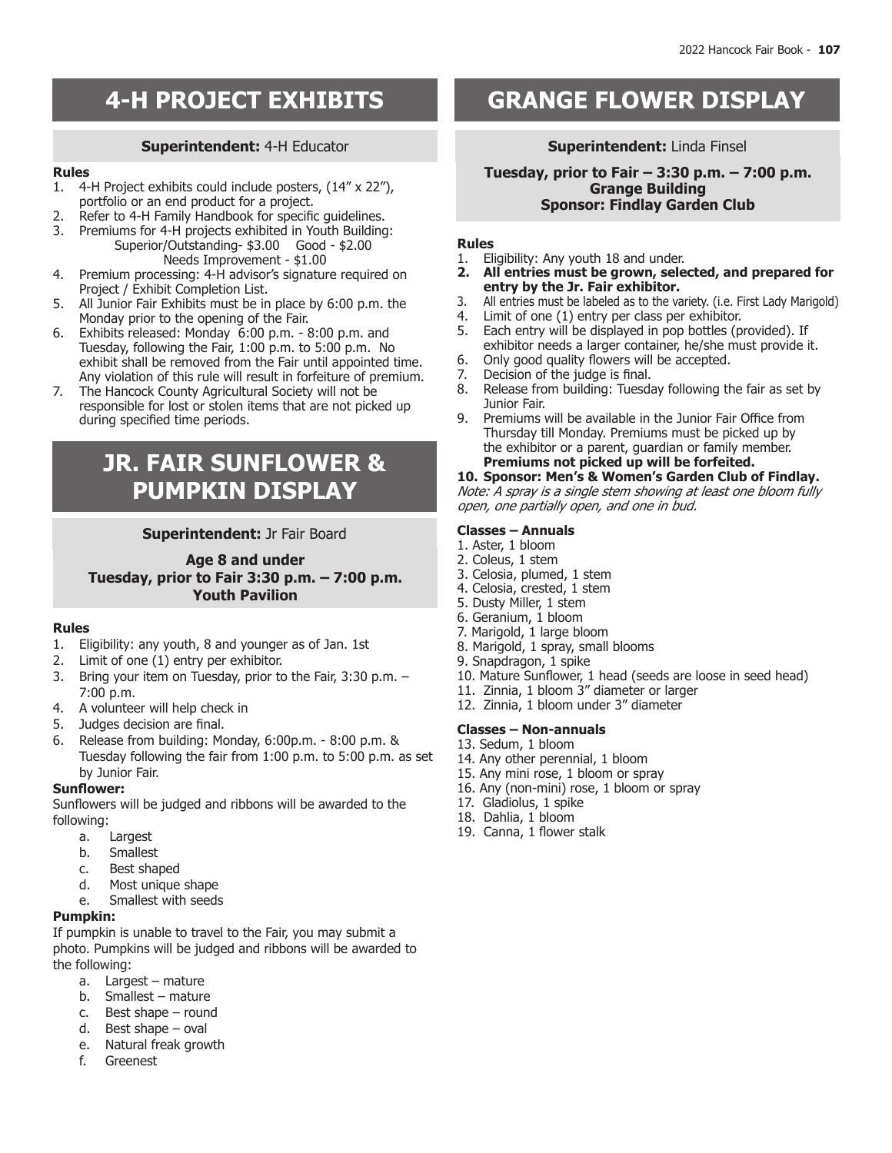# **Superintendent:** 4-H Educator

### **Rules**

- 1. 4-H Project exhibits could include posters, (14" x 22"), portfolio or an end product for a project.
- 2. Refer to 4-H Family Handbook for specific guidelines.<br>3. Premiums for 4-H projects exhibited in Youth Building
- Premiums for 4-H projects exhibited in Youth Building: Superior/Outstanding- \$3.00 Good - \$2.00
- Needs Improvement \$1.00 4. Premium processing: 4-H advisor's signature required on Project / Exhibit Completion List.
- 5. All Junior Fair Exhibits must be in place by 6:00 p.m. the Monday prior to the opening of the Fair.
- 6. Exhibits released: Monday 6:00 p.m. 8:00 p.m. and Tuesday, following the Fair, 1:00 p.m. to 5:00 p.m. No exhibit shall be removed from the Fair until appointed time. Any violation of this rule will result in forfeiture of premium.
- 7. The Hancock County Agricultural Society will not be responsible for lost or stolen items that are not picked up during specified time periods.

# **JR. FAIR SUNFLOWER & PUMPKIN DISPLAY**

# **Superintendent:** Jr Fair Board

**Age 8 and under Tuesday, prior to Fair 3:30 p.m. – 7:00 p.m. Youth Pavilion**

# **Rules**

- 1. Eligibility: any youth, 8 and younger as of Jan. 1st
- 2. Limit of one (1) entry per exhibitor.
- 3. Bring your item on Tuesday, prior to the Fair, 3:30 p.m. 7:00 p.m.
- 4. A volunteer will help check in
- 5. Judges decision are final.
- 6. Release from building: Monday, 6:00p.m. 8:00 p.m. & Tuesday following the fair from 1:00 p.m. to 5:00 p.m. as set by Junior Fair.

# **Sunflower:**

Sunflowers will be judged and ribbons will be awarded to the following:

- a. Largest
- b. Smallest
- c. Best shaped
- d. Most unique shape
- e. Smallest with seeds

# **Pumpkin:**

If pumpkin is unable to travel to the Fair, you may submit a photo. Pumpkins will be judged and ribbons will be awarded to the following:

- a. Largest mature
- b. Smallest mature
- c. Best shape round
- d. Best shape oval
- e. Natural freak growth
- f. Greenest

# **A-H PROJECT EXHIBITS GRANGE FLOWER DISPLAY**

# **Superintendent:** Linda Finsel

**Tuesday, prior to Fair – 3:30 p.m. – 7:00 p.m. Grange Building Sponsor: Findlay Garden Club**

### **Rules**

- 1. Eligibility: Any youth 18 and under.<br>**2. All entries must be grown, sele**
- **2. All entries must be grown, selected, and prepared for entry by the Jr. Fair exhibitor.**
- 3. All entries must be labeled as to the variety. (i.e. First Lady Marigold)
- 4. Limit of one (1) entry per class per exhibitor.
- 5. Each entry will be displayed in pop bottles (provided). If exhibitor needs a larger container, he/she must provide it.
- 6. Only good quality flowers will be accepted.<br>7. Decision of the judge is final.
- Decision of the judge is final.
- 8. Release from building: Tuesday following the fair as set by Junior Fair.
- 9. Premiums will be available in the Junior Fair Office from Thursday till Monday. Premiums must be picked up by the exhibitor or a parent, guardian or family member. **Premiums not picked up will be forfeited.**

#### **10. Sponsor: Men's & Women's Garden Club of Findlay.** Note: A spray is a single stem showing at least one bloom fully open, one partially open, and one in bud.

# **Classes – Annuals**

- 1. Aster, 1 bloom
- 2. Coleus, 1 stem
- 3. Celosia, plumed, 1 stem
- 4. Celosia, crested, 1 stem
- 5. Dusty Miller, 1 stem
- 6. Geranium, 1 bloom
- 7. Marigold, 1 large bloom
- 8. Marigold, 1 spray, small blooms
- 9. Snapdragon, 1 spike
- 10. Mature Sunflower, 1 head (seeds are loose in seed head)
- 11. Zinnia, 1 bloom 3" diameter or larger
- 12. Zinnia, 1 bloom under 3" diameter

# **Classes – Non-annuals**

- 13. Sedum, 1 bloom
- 14. Any other perennial, 1 bloom
- 15. Any mini rose, 1 bloom or spray
- 16. Any (non-mini) rose, 1 bloom or spray
- 17. Gladiolus, 1 spike
- 18. Dahlia, 1 bloom
- 19. Canna, 1 flower stalk